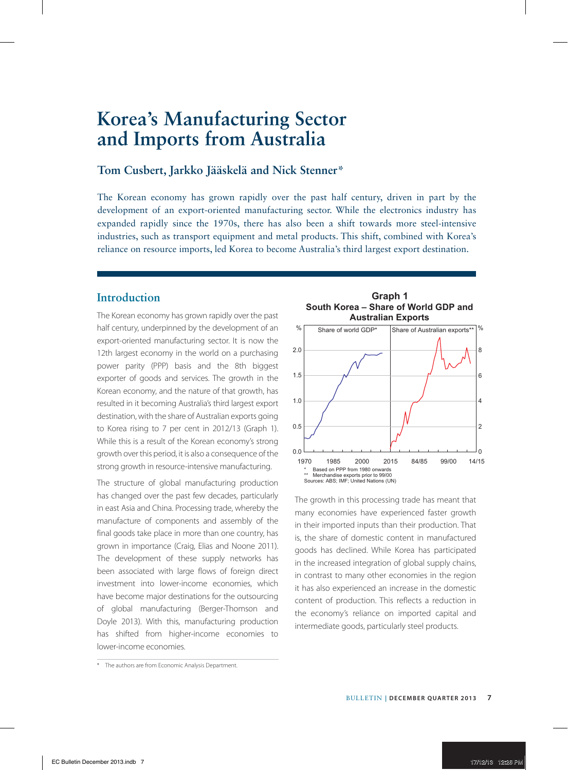# **Tom Cusbert, Jarkko Jääskelä and Nick Stenner\***

The Korean economy has grown rapidly over the past half century, driven in part by the development of an export-oriented manufacturing sector. While the electronics industry has expanded rapidly since the 1970s, there has also been a shift towards more steel-intensive industries, such as transport equipment and metal products. This shift, combined with Korea's reliance on resource imports, led Korea to become Australia's third largest export destination.

# **Introduction**

The Korean economy has grown rapidly over the past half century, underpinned by the development of an export-oriented manufacturing sector. It is now the 12th largest economy in the world on a purchasing power parity (PPP) basis and the 8th biggest exporter of goods and services. The growth in the Korean economy, and the nature of that growth, has resulted in it becoming Australia's third largest export destination, with the share of Australian exports going to Korea rising to 7 per cent in 2012/13 (Graph 1). While this is a result of the Korean economy's strong growth over this period, it is also a consequence of the strong growth in resource-intensive manufacturing.

The structure of global manufacturing production has changed over the past few decades, particularly in east Asia and China. Processing trade, whereby the manufacture of components and assembly of the final goods take place in more than one country, has grown in importance (Craig, Elias and Noone 2011). The development of these supply networks has been associated with large flows of foreign direct investment into lower-income economies, which have become major destinations for the outsourcing of global manufacturing (Berger-Thomson and Doyle 2013). With this, manufacturing production has shifted from higher-income economies to lower-income economies.

**Graph 1 South Korea – Share of World GDP and Australian Exports**



The growth in this processing trade has meant that many economies have experienced faster growth in their imported inputs than their production. That is, the share of domestic content in manufactured goods has declined. While Korea has participated in the increased integration of global supply chains, in contrast to many other economies in the region it has also experienced an increase in the domestic content of production. This reflects a reduction in the economy's reliance on imported capital and intermediate goods, particularly steel products.

<sup>\*</sup> The authors are from Economic Analysis Department.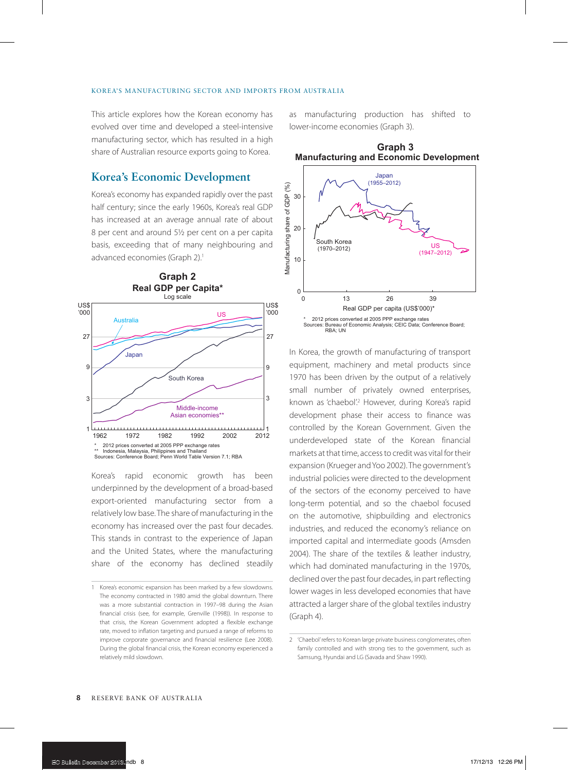This article explores how the Korean economy has evolved over time and developed a steel-intensive manufacturing sector, which has resulted in a high share of Australian resource exports going to Korea.

# **Korea's Economic Development**

Korea's economy has expanded rapidly over the past half century; since the early 1960s, Korea's real GDP has increased at an average annual rate of about 8 per cent and around 5½ per cent on a per capita basis, exceeding that of many neighbouring and advanced economies (Graph 2).<sup>1</sup>



Korea's rapid economic growth has been underpinned by the development of a broad-based export-oriented manufacturing sector from a relatively low base. The share of manufacturing in the economy has increased over the past four decades. This stands in contrast to the experience of Japan and the United States, where the manufacturing share of the economy has declined steadily

as manufacturing production has shifted to lower-income economies (Graph 3).

**Graph 3**

**Manufacturing and Economic Development**



In Korea, the growth of manufacturing of transport equipment, machinery and metal products since 1970 has been driven by the output of a relatively small number of privately owned enterprises, known as 'chaebol'.<sup>2</sup> However, during Korea's rapid development phase their access to finance was controlled by the Korean Government. Given the underdeveloped state of the Korean financial markets at that time, access to credit was vital for their expansion (Krueger and Yoo 2002). The government's industrial policies were directed to the development of the sectors of the economy perceived to have long-term potential, and so the chaebol focused on the automotive, shipbuilding and electronics industries, and reduced the economy's reliance on imported capital and intermediate goods (Amsden 2004). The share of the textiles & leather industry, which had dominated manufacturing in the 1970s, declined over the past four decades, in part reflecting lower wages in less developed economies that have attracted a larger share of the global textiles industry (Graph 4).

<sup>1</sup> Korea's economic expansion has been marked by a few slowdowns. The economy contracted in 1980 amid the global downturn. There was a more substantial contraction in 1997–98 during the Asian financial crisis (see, for example, Grenville (1998)). In response to that crisis, the Korean Government adopted a flexible exchange rate, moved to inflation targeting and pursued a range of reforms to improve corporate governance and financial resilience (Lee 2008). During the global financial crisis, the Korean economy experienced a relatively mild slowdown.

<sup>2</sup> 'Chaebol' refers to Korean large private business conglomerates, often family controlled and with strong ties to the government, such as Samsung, Hyundai and LG (Savada and Shaw 1990).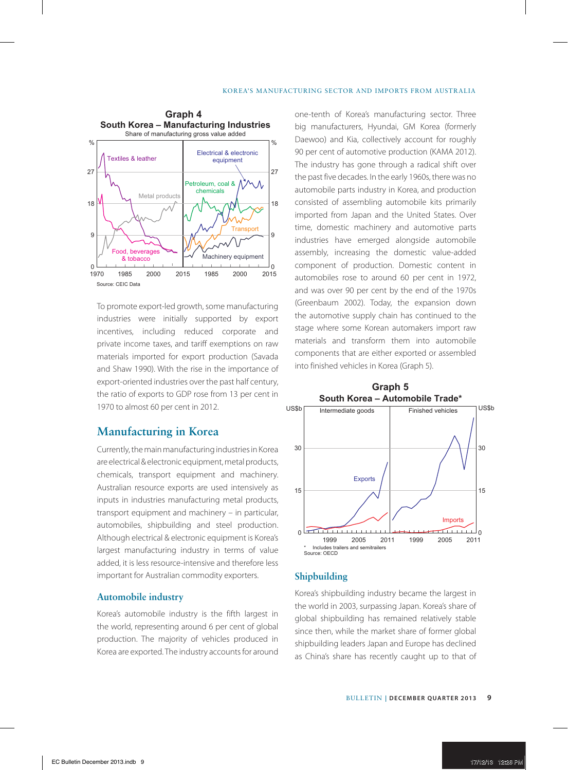

To promote export-led growth, some manufacturing industries were initially supported by export incentives, including reduced corporate and private income taxes, and tariff exemptions on raw materials imported for export production (Savada and Shaw 1990). With the rise in the importance of export-oriented industries over the past half century, the ratio of exports to GDP rose from 13 per cent in 1970 to almost 60 per cent in 2012.

# **Manufacturing in Korea**

Currently, the main manufacturing industries in Korea are electrical & electronic equipment, metal products, chemicals, transport equipment and machinery. Australian resource exports are used intensively as inputs in industries manufacturing metal products, transport equipment and machinery – in particular, automobiles, shipbuilding and steel production. Although electrical & electronic equipment is Korea's largest manufacturing industry in terms of value added, it is less resource-intensive and therefore less important for Australian commodity exporters.

## **Automobile industry**

Korea's automobile industry is the fifth largest in the world, representing around 6 per cent of global production. The majority of vehicles produced in Korea are exported. The industry accounts for around one-tenth of Korea's manufacturing sector. Three big manufacturers, Hyundai, GM Korea (formerly Daewoo) and Kia, collectively account for roughly 90 per cent of automotive production (KAMA 2012). The industry has gone through a radical shift over the past five decades. In the early 1960s, there was no automobile parts industry in Korea, and production consisted of assembling automobile kits primarily imported from Japan and the United States. Over time, domestic machinery and automotive parts industries have emerged alongside automobile assembly, increasing the domestic value-added component of production. Domestic content in automobiles rose to around 60 per cent in 1972, and was over 90 per cent by the end of the 1970s (Greenbaum 2002). Today, the expansion down the automotive supply chain has continued to the stage where some Korean automakers import raw materials and transform them into automobile components that are either exported or assembled into finished vehicles in Korea (Graph 5).



## **Shipbuilding**

Korea's shipbuilding industry became the largest in the world in 2003, surpassing Japan. Korea's share of global shipbuilding has remained relatively stable since then, while the market share of former global shipbuilding leaders Japan and Europe has declined as China's share has recently caught up to that of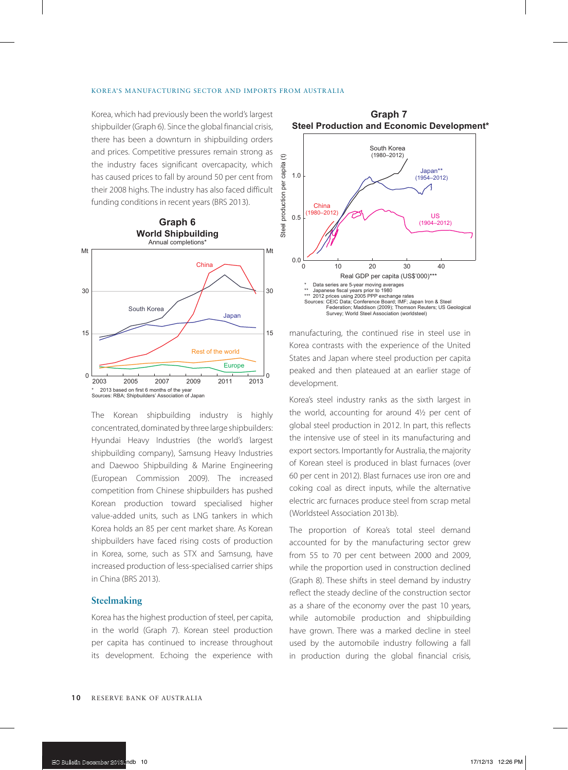Korea, which had previously been the world's largest shipbuilder (Graph 6). Since the global financial crisis, there has been a downturn in shipbuilding orders and prices. Competitive pressures remain strong as the industry faces significant overcapacity, which has caused prices to fall by around 50 per cent from their 2008 highs. The industry has also faced difficult funding conditions in recent years (BRS 2013).



The Korean shipbuilding industry is highly concentrated, dominated by three large shipbuilders: Hyundai Heavy Industries (the world's largest shipbuilding company), Samsung Heavy Industries and Daewoo Shipbuilding & Marine Engineering (European Commission 2009). The increased competition from Chinese shipbuilders has pushed Korean production toward specialised higher value-added units, such as LNG tankers in which Korea holds an 85 per cent market share. As Korean shipbuilders have faced rising costs of production in Korea, some, such as STX and Samsung, have increased production of less-specialised carrier ships in China (BRS 2013).

## **Steelmaking**

Korea has the highest production of steel, per capita, in the world (Graph 7). Korean steel production per capita has continued to increase throughout its development. Echoing the experience with



**Graph 7**

manufacturing, the continued rise in steel use in Korea contrasts with the experience of the United States and Japan where steel production per capita peaked and then plateaued at an earlier stage of development.

Korea's steel industry ranks as the sixth largest in the world, accounting for around 4½ per cent of global steel production in 2012. In part, this reflects the intensive use of steel in its manufacturing and export sectors. Importantly for Australia, the majority of Korean steel is produced in blast furnaces (over 60 per cent in 2012). Blast furnaces use iron ore and coking coal as direct inputs, while the alternative electric arc furnaces produce steel from scrap metal (Worldsteel Association 2013b).

The proportion of Korea's total steel demand accounted for by the manufacturing sector grew from 55 to 70 per cent between 2000 and 2009, while the proportion used in construction declined (Graph 8). These shifts in steel demand by industry reflect the steady decline of the construction sector as a share of the economy over the past 10 years, while automobile production and shipbuilding have grown. There was a marked decline in steel used by the automobile industry following a fall in production during the global financial crisis,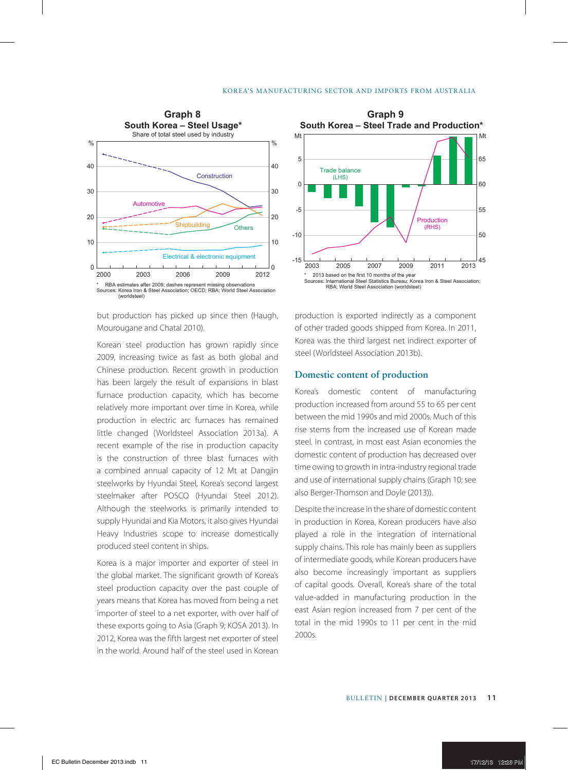

but production has picked up since then (Haugh, Mourougane and Chatal 2010).

Korean steel production has grown rapidly since 2009, increasing twice as fast as both global and Chinese production. Recent growth in production has been largely the result of expansions in blast furnace production capacity, which has become relatively more important over time in Korea, while production in electric arc furnaces has remained little changed (Worldsteel Association 2013a). A recent example of the rise in production capacity is the construction of three blast furnaces with a combined annual capacity of 12 Mt at Dangjin steelworks by Hyundai Steel, Korea's second largest steelmaker after POSCO (Hyundai Steel 2012). Although the steelworks is primarily intended to supply Hyundai and Kia Motors, it also gives Hyundai Heavy Industries scope to increase domestically produced steel content in ships.

Korea is a major importer and exporter of steel in the global market. The significant growth of Korea's steel production capacity over the past couple of years means that Korea has moved from being a net importer of steel to a net exporter, with over half of these exports going to Asia (Graph 9; KOSA 2013). In 2012, Korea was the fifth largest net exporter of steel in the world. Around half of the steel used in Korean



production is exported indirectly as a component of other traded goods shipped from Korea. In 2011, Korea was the third largest net indirect exporter of steel (Worldsteel Association 2013b).

## **Domestic content of production**

Korea's domestic content of manufacturing production increased from around 55 to 65 per cent between the mid 1990s and mid 2000s. Much of this rise stems from the increased use of Korean made steel. In contrast, in most east Asian economies the domestic content of production has decreased over time owing to growth in intra-industry regional trade and use of international supply chains (Graph 10; see also Berger-Thomson and Doyle (2013)).

Despite the increase in the share of domestic content in production in Korea, Korean producers have also played a role in the integration of international supply chains. This role has mainly been as suppliers of intermediate goods, while Korean producers have also become increasingly important as suppliers of capital goods. Overall, Korea's share of the total value-added in manufacturing production in the east Asian region increased from 7 per cent of the total in the mid 1990s to 11 per cent in the mid 2000s.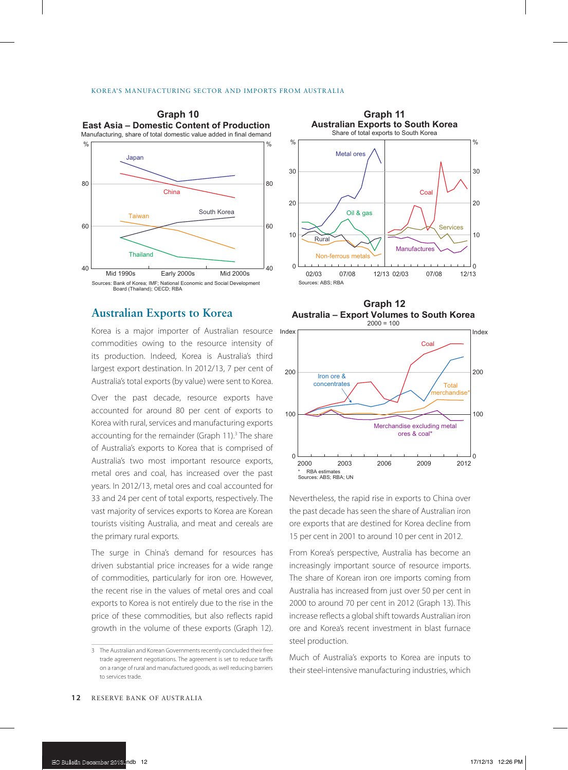

# **Australian Exports to Korea**

Korea is a major importer of Australian resource Index commodities owing to the resource intensity of its production. Indeed, Korea is Australia's third largest export destination. In 2012/13, 7 per cent of Australia's total exports (by value) were sent to Korea.

Over the past decade, resource exports have accounted for around 80 per cent of exports to Korea with rural, services and manufacturing exports accounting for the remainder (Graph 11).<sup>3</sup> The share of Australia's exports to Korea that is comprised of Australia's two most important resource exports, metal ores and coal, has increased over the past years. In 2012/13, metal ores and coal accounted for 33 and 24 per cent of total exports, respectively. The vast majority of services exports to Korea are Korean tourists visiting Australia, and meat and cereals are the primary rural exports.

The surge in China's demand for resources has driven substantial price increases for a wide range of commodities, particularly for iron ore. However, the recent rise in the values of metal ores and coal exports to Korea is not entirely due to the rise in the price of these commodities, but also reflects rapid growth in the volume of these exports (Graph 12).



**Graph 12 Australia – Export Volumes to South Korea**  $2000 = 100$ 



Nevertheless, the rapid rise in exports to China over the past decade has seen the share of Australian iron ore exports that are destined for Korea decline from 15 per cent in 2001 to around 10 per cent in 2012.

From Korea's perspective, Australia has become an increasingly important source of resource imports. The share of Korean iron ore imports coming from Australia has increased from just over 50 per cent in 2000 to around 70 per cent in 2012 (Graph 13). This increase reflects a global shift towards Australian iron ore and Korea's recent investment in blast furnace steel production.

Much of Australia's exports to Korea are inputs to their steel-intensive manufacturing industries, which

<sup>3</sup> The Australian and Korean Governments recently concluded their free trade agreement negotiations. The agreement is set to reduce tariffs on a range of rural and manufactured goods, as well reducing barriers to services trade.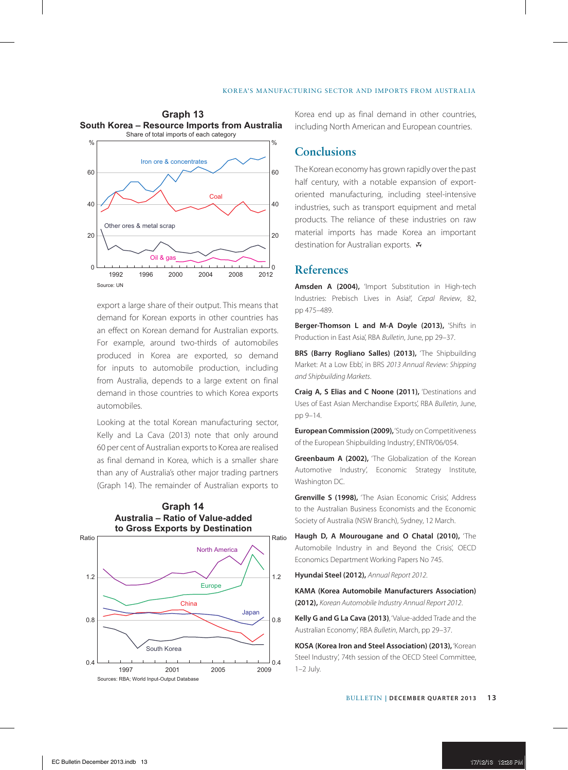

export a large share of their output. This means that demand for Korean exports in other countries has an effect on Korean demand for Australian exports. For example, around two-thirds of automobiles produced in Korea are exported, so demand for inputs to automobile production, including from Australia, depends to a large extent on final demand in those countries to which Korea exports automobiles.

Looking at the total Korean manufacturing sector, Kelly and La Cava (2013) note that only around 60 per cent of Australian exports to Korea are realised as final demand in Korea, which is a smaller share than any of Australia's other major trading partners (Graph 14). The remainder of Australian exports to



**Graph 14 Australia – Ratio of Value-added** Korea end up as final demand in other countries, including North American and European countries.

# **Conclusions**

The Korean economy has grown rapidly over the past half century, with a notable expansion of exportoriented manufacturing, including steel-intensive industries, such as transport equipment and metal products. The reliance of these industries on raw material imports has made Korea an important destination for Australian exports. R

## **References**

**Amsden A (2004),** 'Import Substitution in High-tech Industries: Prebisch Lives in Asia!', *Cepal Review*, 82, pp 475–489.

**Berger-Thomson L and M-A Doyle (2013),** 'Shifts in Production in East Asia', RBA *Bulletin*, June, pp 29–37.

**BRS (Barry Rogliano Salles) (2013),** 'The Shipbuilding Market: At a Low Ebb', in BRS *2013 Annual Review: Shipping and Shipbuilding Markets*.

**Craig A, S Elias and C Noone (2011),** 'Destinations and Uses of East Asian Merchandise Exports', RBA *Bulletin*, June, pp 9–14.

**European Commission (2009),** 'Study on Competitiveness of the European Shipbuilding Industry', ENTR/06/054.

**Greenbaum A (2002).** 'The Globalization of the Korean Automotive Industry', Economic Strategy Institute, Washington DC.

**Grenville S (1998),** 'The Asian Economic Crisis', Address to the Australian Business Economists and the Economic Society of Australia (NSW Branch), Sydney, 12 March.

**Haugh D, A Mourougane and O Chatal (2010),** 'The Automobile Industry in and Beyond the Crisis', OECD Economics Department Working Papers No 745.

**Hyundai Steel (2012),** *Annual Report 2012*.

**KAMA (Korea Automobile Manufacturers Association) (2012),** *Korean Automobile Industry Annual Report 2012*.

**Kelly G and G La Cava (2013)**, 'Value-added Trade and the Australian Economy', RBA *Bulletin*, March, pp 29–37.

**KOSA (Korea Iron and Steel Association) (2013),** 'Korean Steel Industry', 74th session of the OECD Steel Committee, 1–2 July.